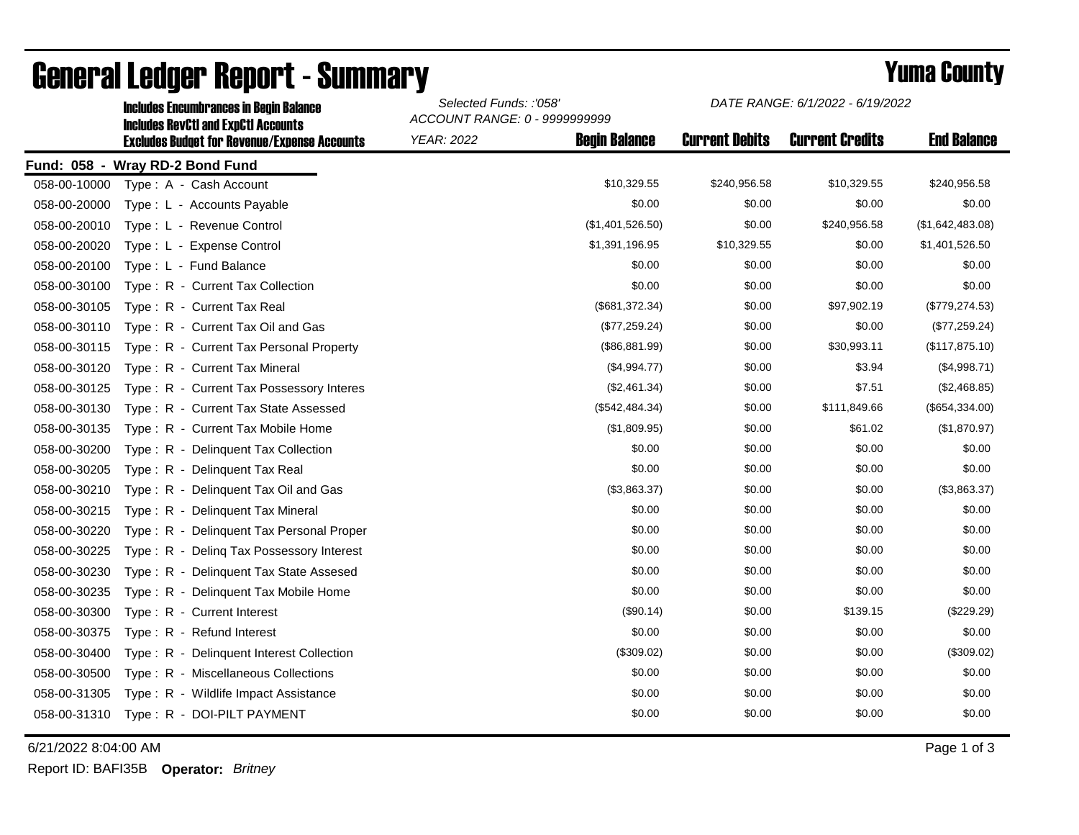|              | <b>Includes Encumbrances in Begin Balance</b><br><b>Includes RevCtI and ExpCtI Accounts</b> | Selected Funds: :'058'<br>ACCOUNT RANGE: 0 - 9999999999 |                      | DATE RANGE: 6/1/2022 - 6/19/2022 |                        |                    |
|--------------|---------------------------------------------------------------------------------------------|---------------------------------------------------------|----------------------|----------------------------------|------------------------|--------------------|
|              | <b>Excludes Budget for Revenue/Expense Accounts</b>                                         | <b>YEAR: 2022</b>                                       | <b>Begin Balance</b> | <b>Current Debits</b>            | <b>Current Credits</b> | <b>End Balance</b> |
|              | Fund: 058 - Wray RD-2 Bond Fund                                                             |                                                         |                      |                                  |                        |                    |
| 058-00-10000 | Type: A - Cash Account                                                                      |                                                         | \$10,329.55          | \$240,956.58                     | \$10,329.55            | \$240,956.58       |
| 058-00-20000 | Type: L - Accounts Payable                                                                  |                                                         | \$0.00               | \$0.00                           | \$0.00                 | \$0.00             |
| 058-00-20010 | Type: L - Revenue Control                                                                   |                                                         | (\$1,401,526.50)     | \$0.00                           | \$240,956.58           | (\$1,642,483.08)   |
| 058-00-20020 | Type: L - Expense Control                                                                   |                                                         | \$1,391,196.95       | \$10,329.55                      | \$0.00                 | \$1,401,526.50     |
| 058-00-20100 | Type: L - Fund Balance                                                                      |                                                         | \$0.00               | \$0.00                           | \$0.00                 | \$0.00             |
| 058-00-30100 | Type: R - Current Tax Collection                                                            |                                                         | \$0.00               | \$0.00                           | \$0.00                 | \$0.00             |
| 058-00-30105 | Type: R - Current Tax Real                                                                  |                                                         | (\$681,372.34)       | \$0.00                           | \$97,902.19            | (\$779, 274.53)    |
| 058-00-30110 | Type: R - Current Tax Oil and Gas                                                           |                                                         | (\$77,259.24)        | \$0.00                           | \$0.00                 | (\$77,259.24)      |
| 058-00-30115 | Type: R - Current Tax Personal Property                                                     |                                                         | (\$86,881.99)        | \$0.00                           | \$30,993.11            | (\$117,875.10)     |
| 058-00-30120 | Type: R - Current Tax Mineral                                                               |                                                         | (\$4,994.77)         | \$0.00                           | \$3.94                 | (\$4,998.71)       |
| 058-00-30125 | Type: R - Current Tax Possessory Interes                                                    |                                                         | (\$2,461.34)         | \$0.00                           | \$7.51                 | (\$2,468.85)       |
| 058-00-30130 | Type: R - Current Tax State Assessed                                                        |                                                         | (\$542,484.34)       | \$0.00                           | \$111,849.66           | (\$654,334.00)     |
| 058-00-30135 | Type: R - Current Tax Mobile Home                                                           |                                                         | (\$1,809.95)         | \$0.00                           | \$61.02                | (\$1,870.97)       |
| 058-00-30200 | Type: R - Delinguent Tax Collection                                                         |                                                         | \$0.00               | \$0.00                           | \$0.00                 | \$0.00             |
| 058-00-30205 | $Type: R -$<br>Delinquent Tax Real                                                          |                                                         | \$0.00               | \$0.00                           | \$0.00                 | \$0.00             |
| 058-00-30210 | Type: R - Delinquent Tax Oil and Gas                                                        |                                                         | (\$3,863.37)         | \$0.00                           | \$0.00                 | (\$3,863.37)       |
| 058-00-30215 | Type: R - Delinquent Tax Mineral                                                            |                                                         | \$0.00               | \$0.00                           | \$0.00                 | \$0.00             |
| 058-00-30220 | Type: R - Delinguent Tax Personal Proper                                                    |                                                         | \$0.00               | \$0.00                           | \$0.00                 | \$0.00             |
| 058-00-30225 | Type: R - Deling Tax Possessory Interest                                                    |                                                         | \$0.00               | \$0.00                           | \$0.00                 | \$0.00             |
| 058-00-30230 | Delinquent Tax State Assesed<br>$Type: R -$                                                 |                                                         | \$0.00               | \$0.00                           | \$0.00                 | \$0.00             |
| 058-00-30235 | Type: R - Delinquent Tax Mobile Home                                                        |                                                         | \$0.00               | \$0.00                           | \$0.00                 | \$0.00             |
| 058-00-30300 | Type: R - Current Interest                                                                  |                                                         | (\$90.14)            | \$0.00                           | \$139.15               | (\$229.29)         |
| 058-00-30375 | Type: R - Refund Interest                                                                   |                                                         | \$0.00               | \$0.00                           | \$0.00                 | \$0.00             |
| 058-00-30400 | Type: R - Delinquent Interest Collection                                                    |                                                         | (\$309.02)           | \$0.00                           | \$0.00                 | (\$309.02)         |
| 058-00-30500 | Type: R - Miscellaneous Collections                                                         |                                                         | \$0.00               | \$0.00                           | \$0.00                 | \$0.00             |
| 058-00-31305 | Type: R - Wildlife Impact Assistance                                                        |                                                         | \$0.00               | \$0.00                           | \$0.00                 | \$0.00             |
| 058-00-31310 | Type: R - DOI-PILT PAYMENT                                                                  |                                                         | \$0.00               | \$0.00                           | \$0.00                 | \$0.00             |

## General Ledger Report - Summary **Example 2018** Yuma County

6/21/2022 8:04:00 AM Page 1 of 3

Report ID: BAFI35B **Operator:** *Britney*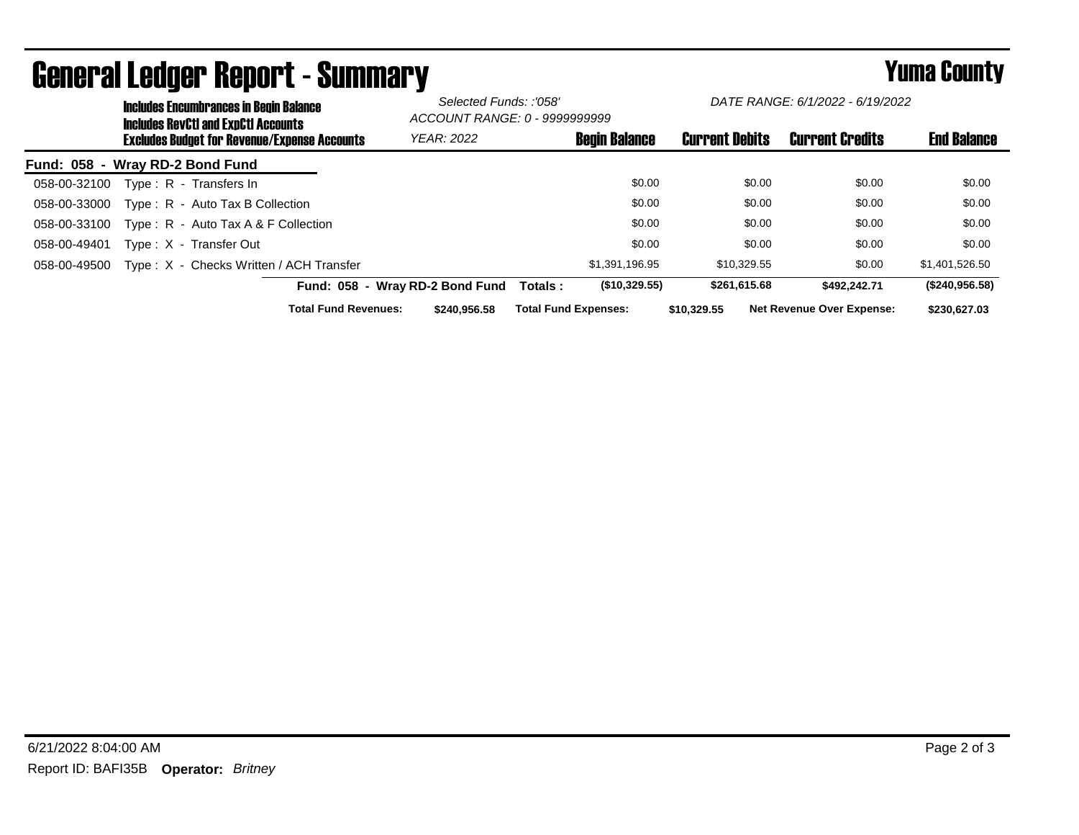|                                 | <b>Includes Encumbrances in Begin Balance</b><br><b>Includes RevCtI and ExpCtI Accounts</b> |                                         |  | Selected Funds: :'058'<br>ACCOUNT RANGE: 0 - 9999999999 |                             | DATE RANGE: 6/1/2022 - 6/19/2022 |                       |              |                                  |                    |
|---------------------------------|---------------------------------------------------------------------------------------------|-----------------------------------------|--|---------------------------------------------------------|-----------------------------|----------------------------------|-----------------------|--------------|----------------------------------|--------------------|
|                                 | <b>Excludes Budget for Revenue/Expense Accounts</b>                                         |                                         |  | <b>YEAR: 2022</b>                                       |                             | <b>Begin Balance</b>             | <b>Current Debits</b> |              | <b>Current Credits</b>           | <b>End Balance</b> |
| Fund: 058 - Wray RD-2 Bond Fund |                                                                                             |                                         |  |                                                         |                             |                                  |                       |              |                                  |                    |
| 058-00-32100                    |                                                                                             | Type: R - Transfers In                  |  |                                                         |                             | \$0.00                           |                       | \$0.00       | \$0.00                           | \$0.00             |
| 058-00-33000                    |                                                                                             | Type: R - Auto Tax B Collection         |  |                                                         |                             | \$0.00                           |                       | \$0.00       | \$0.00                           | \$0.00             |
| 058-00-33100                    |                                                                                             | Type: R - Auto Tax A & F Collection     |  |                                                         |                             | \$0.00                           |                       | \$0.00       | \$0.00                           | \$0.00             |
| 058-00-49401                    |                                                                                             | Type: X - Transfer Out                  |  |                                                         |                             | \$0.00                           |                       | \$0.00       | \$0.00                           | \$0.00             |
| 058-00-49500                    |                                                                                             | Type: X - Checks Written / ACH Transfer |  |                                                         |                             | \$1,391,196.95                   |                       | \$10.329.55  | \$0.00                           | \$1,401,526.50     |
|                                 |                                                                                             |                                         |  | Fund: 058 - Wray RD-2 Bond Fund                         | Totals :                    | (\$10,329.55)                    |                       | \$261,615.68 | \$492.242.71                     | (\$240,956.58)     |
|                                 |                                                                                             | <b>Total Fund Revenues:</b>             |  | \$240,956,58                                            | <b>Total Fund Expenses:</b> |                                  | \$10.329.55           |              | <b>Net Revenue Over Expense:</b> | \$230,627.03       |

## General Ledger Report - Summary **Seneral Ledger Report - Summary**